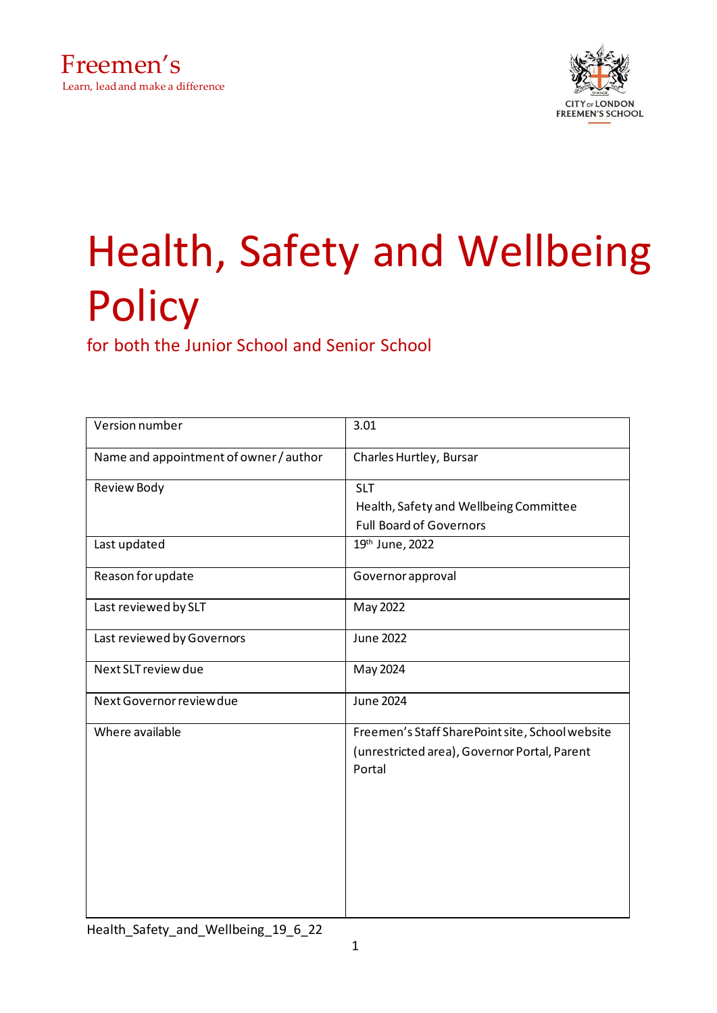



# Health, Safety and Wellbeing **Policy**

for both the Junior School and Senior School

| Version number                         | 3.01                                                                                            |
|----------------------------------------|-------------------------------------------------------------------------------------------------|
| Name and appointment of owner / author | Charles Hurtley, Bursar                                                                         |
| Review Body                            | <b>SLT</b>                                                                                      |
|                                        | Health, Safety and Wellbeing Committee                                                          |
|                                        | <b>Full Board of Governors</b>                                                                  |
| Last updated                           | 19th June, 2022                                                                                 |
| Reason for update                      | Governor approval                                                                               |
| Last reviewed by SLT                   | May 2022                                                                                        |
| Last reviewed by Governors             | <b>June 2022</b>                                                                                |
| Next SLT review due                    | May 2024                                                                                        |
| Next Governor review due               | <b>June 2024</b>                                                                                |
| Where available                        | Freemen's Staff SharePoint site, School website<br>(unrestricted area), Governor Portal, Parent |
|                                        | Portal                                                                                          |
|                                        |                                                                                                 |
|                                        |                                                                                                 |
|                                        |                                                                                                 |
|                                        |                                                                                                 |
|                                        |                                                                                                 |
|                                        |                                                                                                 |
|                                        |                                                                                                 |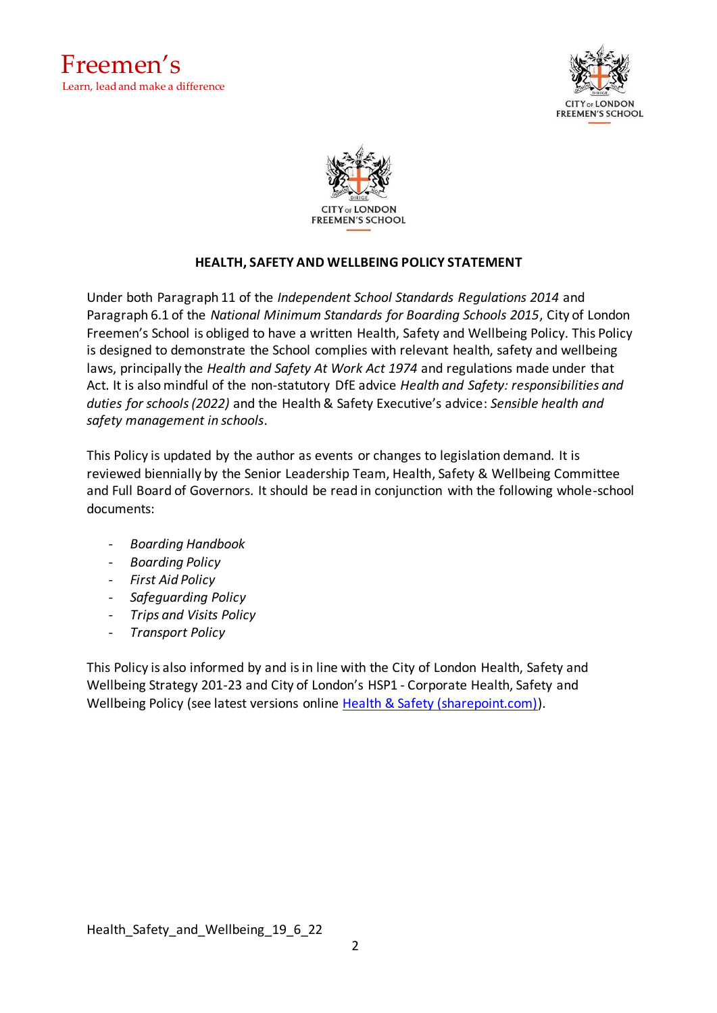





## **HEALTH, SAFETY AND WELLBEING POLICY STATEMENT**

Under both Paragraph 11 of the *Independent School Standards Regulations 2014* and Paragraph 6.1 of the *National Minimum Standards for Boarding Schools 2015*, City of London Freemen's School is obliged to have a written Health, Safety and Wellbeing Policy. This Policy is designed to demonstrate the School complies with relevant health, safety and wellbeing laws, principally the *Health and Safety At Work Act 1974* and regulations made under that Act. It is also mindful of the non-statutory DfE advice *Health and Safety: responsibilities and duties for schools (2022)* and the Health & Safety Executive's advice: *Sensible health and safety management in schools*.

This Policy is updated by the author as events or changes to legislation demand. It is reviewed biennially by the Senior Leadership Team, Health, Safety & Wellbeing Committee and Full Board of Governors. It should be read in conjunction with the following whole-school documents:

- *Boarding Handbook*
- *Boarding Policy*
- *First Aid Policy*
- *Safeguarding Policy*
- *Trips and Visits Policy*
- *Transport Policy*

This Policy is also informed by and is in line with the City of London Health, Safety and Wellbeing Strategy 201-23 and City of London's HSP1 - Corporate Health, Safety and Wellbeing Policy (see latest versions online [Health & Safety \(sharepoint.com\)\)](https://corpoflondon.sharepoint.com/sites/Intranet/SitePages/Health-and-Safety-2.aspx).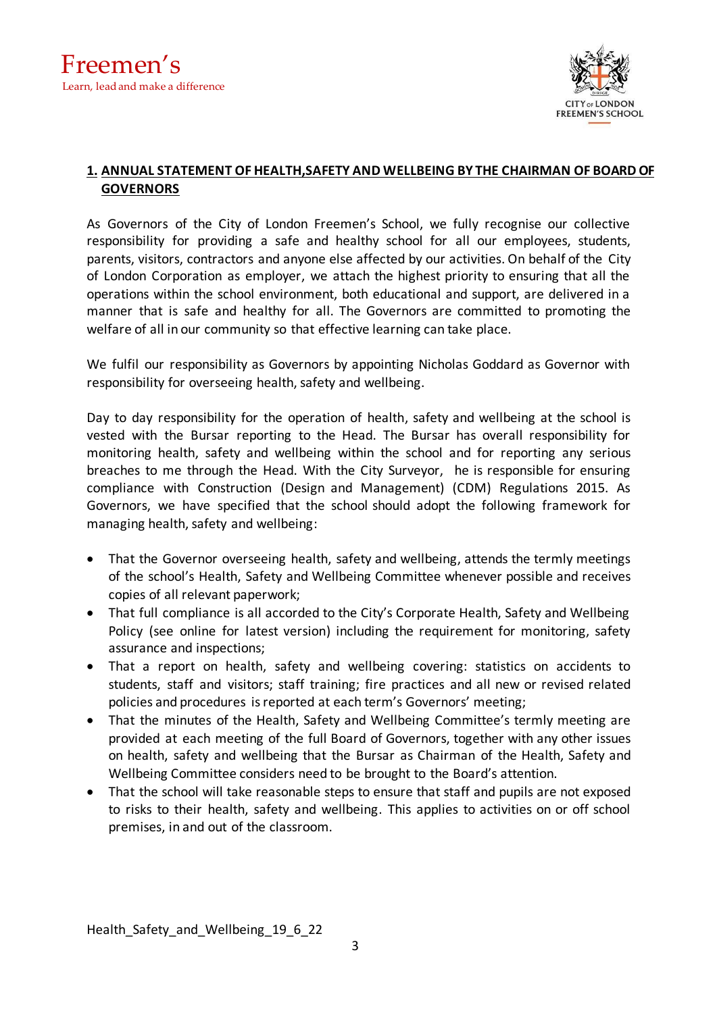

## **1. ANNUAL STATEMENT OF HEALTH,SAFETY AND WELLBEING BY THE CHAIRMAN OF BOARD OF GOVERNORS**

As Governors of the City of London Freemen's School, we fully recognise our collective responsibility for providing a safe and healthy school for all our employees, students, parents, visitors, contractors and anyone else affected by our activities. On behalf of the City of London Corporation as employer, we attach the highest priority to ensuring that all the operations within the school environment, both educational and support, are delivered in a manner that is safe and healthy for all. The Governors are committed to promoting the welfare of all in our community so that effective learning can take place.

We fulfil our responsibility as Governors by appointing Nicholas Goddard as Governor with responsibility for overseeing health, safety and wellbeing.

Day to day responsibility for the operation of health, safety and wellbeing at the school is vested with the Bursar reporting to the Head. The Bursar has overall responsibility for monitoring health, safety and wellbeing within the school and for reporting any serious breaches to me through the Head. With the City Surveyor, he is responsible for ensuring compliance with Construction (Design and Management) (CDM) Regulations 2015. As Governors, we have specified that the school should adopt the following framework for managing health, safety and wellbeing:

- That the Governor overseeing health, safety and wellbeing, attends the termly meetings of the school's Health, Safety and Wellbeing Committee whenever possible and receives copies of all relevant paperwork;
- That full compliance is all accorded to the City's Corporate Health, Safety and Wellbeing Policy (see online for latest version) including the requirement for monitoring, safety assurance and inspections;
- That a report on health, safety and wellbeing covering: statistics on accidents to students, staff and visitors; staff training; fire practices and all new or revised related policies and procedures isreported at each term's Governors' meeting;
- That the minutes of the Health, Safety and Wellbeing Committee's termly meeting are provided at each meeting of the full Board of Governors, together with any other issues on health, safety and wellbeing that the Bursar as Chairman of the Health, Safety and Wellbeing Committee considers need to be brought to the Board's attention.
- That the school will take reasonable steps to ensure that staff and pupils are not exposed to risks to their health, safety and wellbeing. This applies to activities on or off school premises, in and out of the classroom.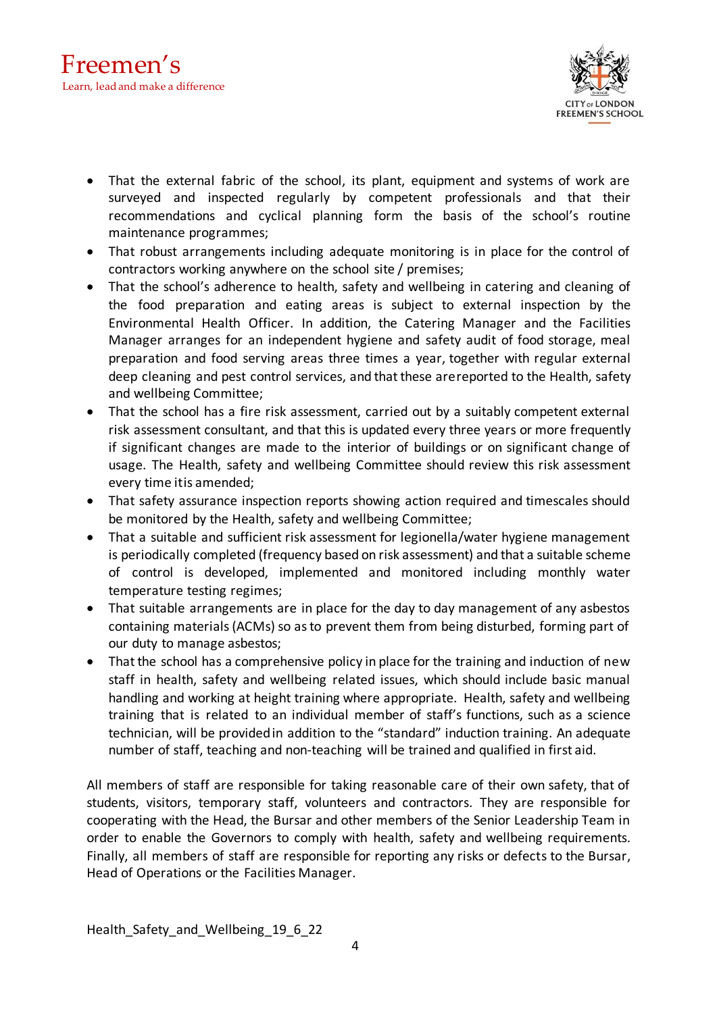

- That the external fabric of the school, its plant, equipment and systems of work are surveyed and inspected regularly by competent professionals and that their recommendations and cyclical planning form the basis of the school's routine maintenance programmes;
- That robust arrangements including adequate monitoring is in place for the control of contractors working anywhere on the school site / premises;
- That the school's adherence to health, safety and wellbeing in catering and cleaning of the food preparation and eating areas is subject to external inspection by the Environmental Health Officer. In addition, the Catering Manager and the Facilities Manager arranges for an independent hygiene and safety audit of food storage, meal preparation and food serving areas three times a year, together with regular external deep cleaning and pest control services, and that these arereported to the Health, safety and wellbeing Committee;
- That the school has a fire risk assessment, carried out by a suitably competent external risk assessment consultant, and that this is updated every three years or more frequently if significant changes are made to the interior of buildings or on significant change of usage. The Health, safety and wellbeing Committee should review this risk assessment every time itis amended;
- That safety assurance inspection reports showing action required and timescales should be monitored by the Health, safety and wellbeing Committee;
- That a suitable and sufficient risk assessment for legionella/water hygiene management is periodically completed (frequency based on risk assessment) and that a suitable scheme of control is developed, implemented and monitored including monthly water temperature testing regimes;
- That suitable arrangements are in place for the day to day management of any asbestos containing materials (ACMs) so as to prevent them from being disturbed, forming part of our duty to manage asbestos;
- That the school has a comprehensive policy in place for the training and induction of new staff in health, safety and wellbeing related issues, which should include basic manual handling and working at height training where appropriate. Health, safety and wellbeing training that is related to an individual member of staff's functions, such as a science technician, will be providedin addition to the "standard" induction training. An adequate number of staff, teaching and non-teaching will be trained and qualified in first aid.

All members of staff are responsible for taking reasonable care of their own safety, that of students, visitors, temporary staff, volunteers and contractors. They are responsible for cooperating with the Head, the Bursar and other members of the Senior Leadership Team in order to enable the Governors to comply with health, safety and wellbeing requirements. Finally, all members of staff are responsible for reporting any risks or defects to the Bursar, Head of Operations or the Facilities Manager.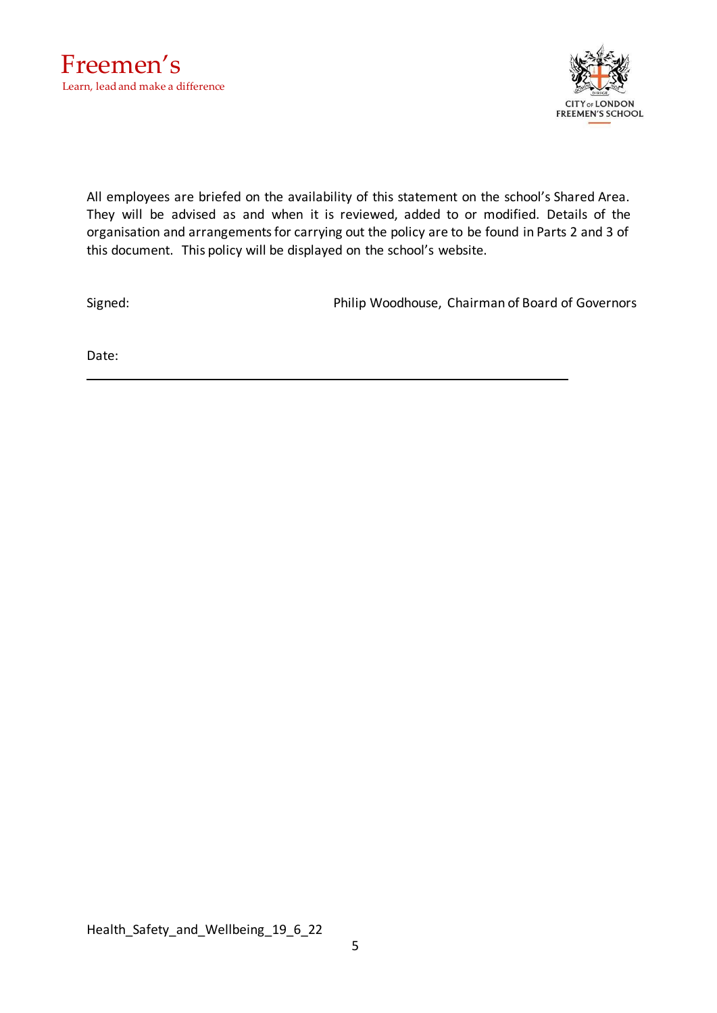

All employees are briefed on the availability of this statement on the school's Shared Area. They will be advised as and when it is reviewed, added to or modified. Details of the organisation and arrangements for carrying out the policy are to be found in Parts 2 and 3 of this document. This policy will be displayed on the school's website.

Signed: Philip Woodhouse, Chairman of Board of Governors

Date: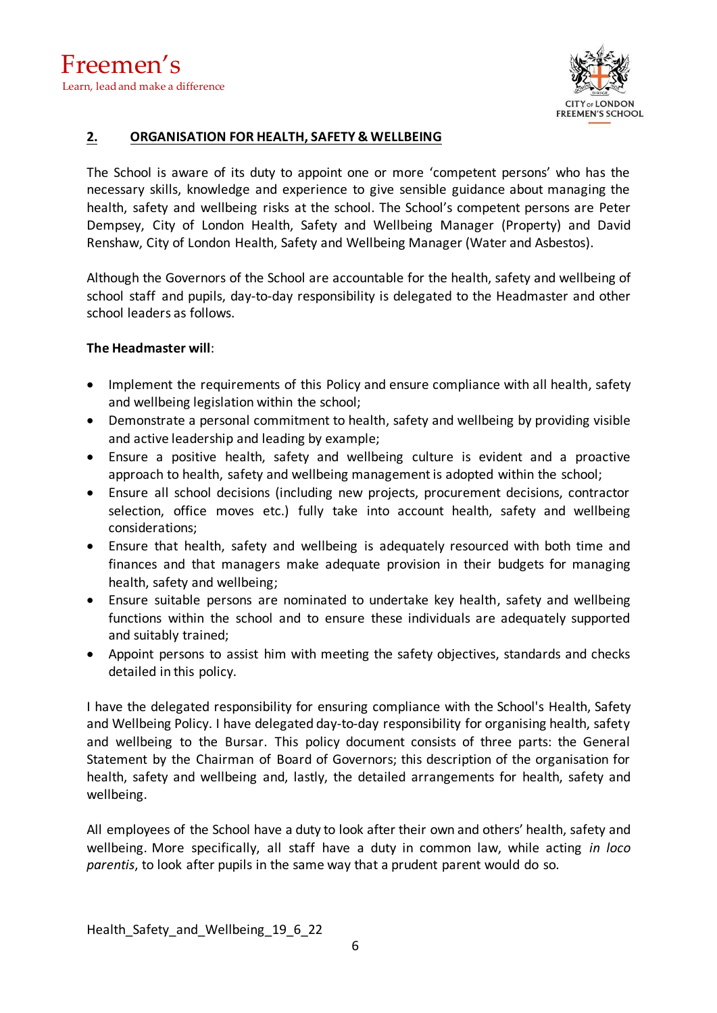

## **2. ORGANISATION FOR HEALTH, SAFETY & WELLBEING**

The School is aware of its duty to appoint one or more 'competent persons' who has the necessary skills, knowledge and experience to give sensible guidance about managing the health, safety and wellbeing risks at the school. The School's competent persons are Peter Dempsey, City of London Health, Safety and Wellbeing Manager (Property) and David Renshaw, City of London Health, Safety and Wellbeing Manager (Water and Asbestos).

Although the Governors of the School are accountable for the health, safety and wellbeing of school staff and pupils, day-to-day responsibility is delegated to the Headmaster and other school leaders as follows.

## **The Headmaster will**:

- Implement the requirements of this Policy and ensure compliance with all health, safety and wellbeing legislation within the school;
- Demonstrate a personal commitment to health, safety and wellbeing by providing visible and active leadership and leading by example;
- Ensure a positive health, safety and wellbeing culture is evident and a proactive approach to health, safety and wellbeing management is adopted within the school;
- Ensure all school decisions (including new projects, procurement decisions, contractor selection, office moves etc.) fully take into account health, safety and wellbeing considerations;
- Ensure that health, safety and wellbeing is adequately resourced with both time and finances and that managers make adequate provision in their budgets for managing health, safety and wellbeing;
- Ensure suitable persons are nominated to undertake key health, safety and wellbeing functions within the school and to ensure these individuals are adequately supported and suitably trained;
- Appoint persons to assist him with meeting the safety objectives, standards and checks detailed in this policy.

I have the delegated responsibility for ensuring compliance with the School's Health, Safety and Wellbeing Policy. I have delegated day-to-day responsibility for organising health, safety and wellbeing to the Bursar. This policy document consists of three parts: the General Statement by the Chairman of Board of Governors; this description of the organisation for health, safety and wellbeing and, lastly, the detailed arrangements for health, safety and wellbeing.

All employees of the School have a duty to look after their own and others' health, safety and wellbeing. More specifically, all staff have a duty in common law, while acting *in loco parentis*, to look after pupils in the same way that a prudent parent would do so.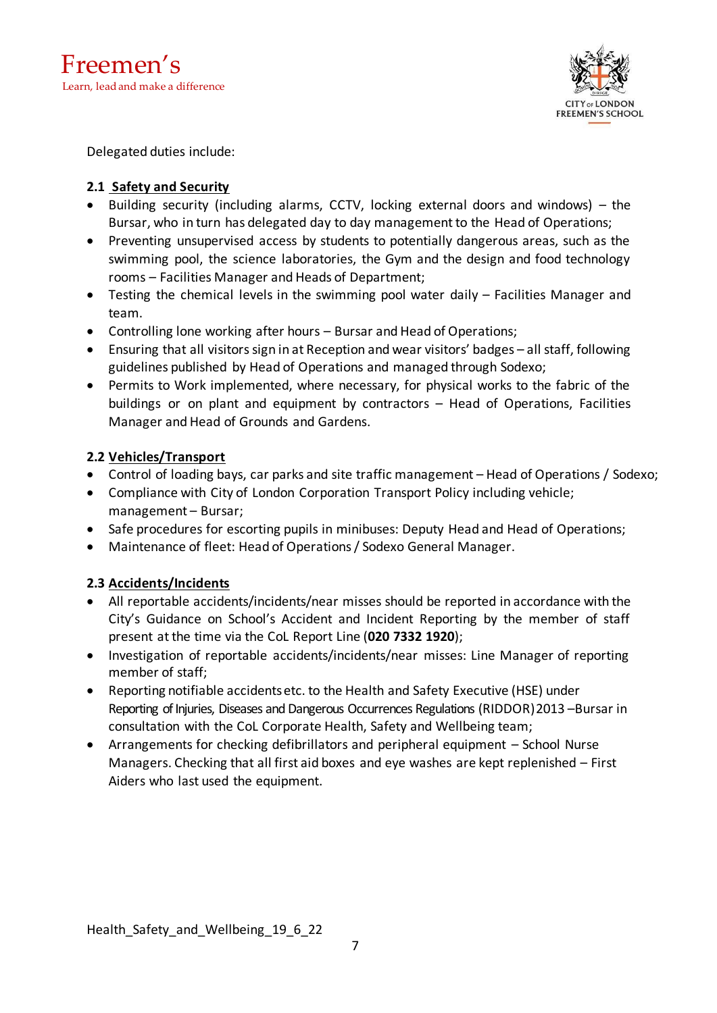

Delegated duties include:

# **2.1 Safety and Security**

- Building security (including alarms, CCTV, locking external doors and windows) the Bursar, who in turn has delegated day to day management to the Head of Operations;
- Preventing unsupervised access by students to potentially dangerous areas, such as the swimming pool, the science laboratories, the Gym and the design and food technology rooms – Facilities Manager and Heads of Department;
- Testing the chemical levels in the swimming pool water daily Facilities Manager and team.
- Controlling lone working after hours Bursar and Head of Operations;
- Ensuring that all visitors sign in at Reception and wear visitors' badges all staff, following guidelines published by Head of Operations and managed through Sodexo;
- Permits to Work implemented, where necessary, for physical works to the fabric of the buildings or on plant and equipment by contractors – Head of Operations, Facilities Manager and Head of Grounds and Gardens.

# **2.2 Vehicles/Transport**

- Control of loading bays, car parks and site traffic management Head of Operations / Sodexo;
- Compliance with City of London Corporation Transport Policy including vehicle; management – Bursar;
- Safe procedures for escorting pupils in minibuses: Deputy Head and Head of Operations;
- Maintenance of fleet: Head of Operations / Sodexo General Manager.

# **2.3 Accidents/Incidents**

- All reportable accidents/incidents/near misses should be reported in accordance with the City's Guidance on School's Accident and Incident Reporting by the member of staff present at the time via the CoL Report Line (**020 7332 1920**);
- Investigation of reportable accidents/incidents/near misses: Line Manager of reporting member of staff;
- Reporting notifiable accidentsetc. to the Health and Safety Executive (HSE) under Reporting of Injuries, Diseases and Dangerous Occurrences Regulations (RIDDOR)2013 –Bursar in consultation with the CoL Corporate Health, Safety and Wellbeing team;
- Arrangements for checking defibrillators and peripheral equipment School Nurse Managers. Checking that all first aid boxes and eye washes are kept replenished – First Aiders who last used the equipment.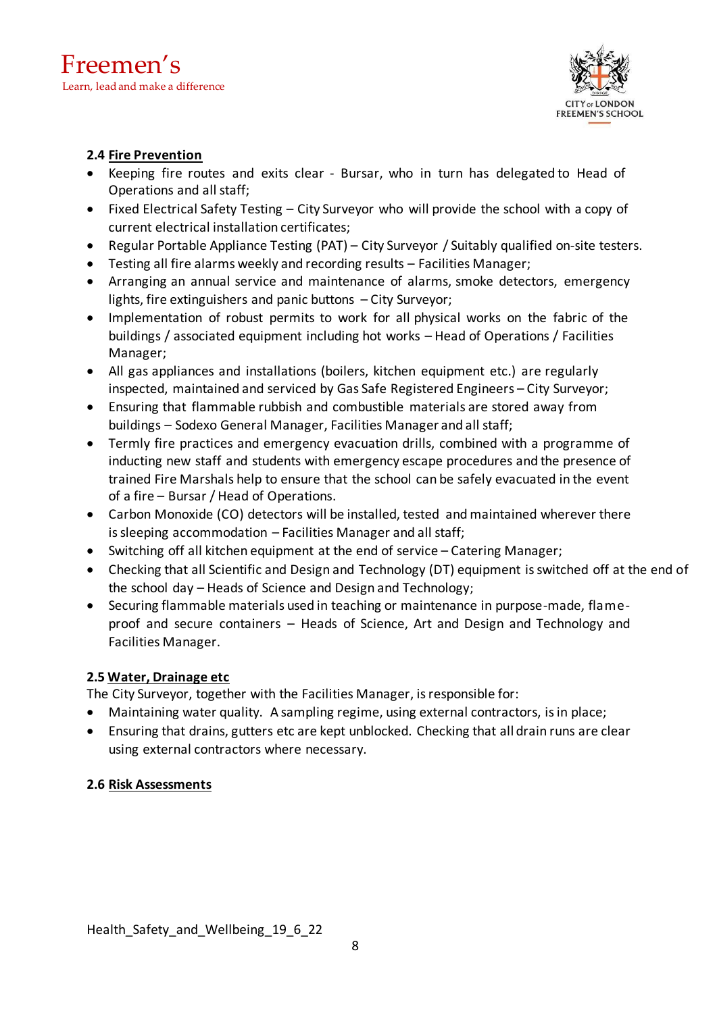

## **2.4 Fire Prevention**

- Keeping fire routes and exits clear Bursar, who in turn has delegated to Head of Operations and all staff;
- Fixed Electrical Safety Testing City Surveyor who will provide the school with a copy of current electrical installation certificates;
- Regular Portable Appliance Testing (PAT) City Surveyor / Suitably qualified on-site testers.
- Testing all fire alarms weekly and recording results Facilities Manager;
- Arranging an annual service and maintenance of alarms, smoke detectors, emergency lights, fire extinguishers and panic buttons – City Surveyor;
- Implementation of robust permits to work for all physical works on the fabric of the buildings / associated equipment including hot works – Head of Operations / Facilities Manager;
- All gas appliances and installations (boilers, kitchen equipment etc.) are regularly inspected, maintained and serviced by Gas Safe Registered Engineers – City Surveyor;
- Ensuring that flammable rubbish and combustible materials are stored away from buildings – Sodexo General Manager, Facilities Manager and all staff;
- Termly fire practices and emergency evacuation drills, combined with a programme of inducting new staff and students with emergency escape procedures and the presence of trained Fire Marshals help to ensure that the school can be safely evacuated in the event of a fire – Bursar / Head of Operations.
- Carbon Monoxide (CO) detectors will be installed, tested and maintained wherever there is sleeping accommodation – Facilities Manager and all staff;
- Switching off all kitchen equipment at the end of service Catering Manager;
- Checking that all Scientific and Design and Technology (DT) equipment is switched off at the end of the school day – Heads of Science and Design and Technology;
- Securing flammable materials used in teaching or maintenance in purpose-made, flameproof and secure containers – Heads of Science, Art and Design and Technology and Facilities Manager.

# **2.5 Water, Drainage etc**

The City Surveyor, together with the Facilities Manager, isresponsible for:

- Maintaining water quality. A sampling regime, using external contractors, isin place;
- Ensuring that drains, gutters etc are kept unblocked. Checking that all drain runs are clear using external contractors where necessary.

# **2.6 Risk Assessments**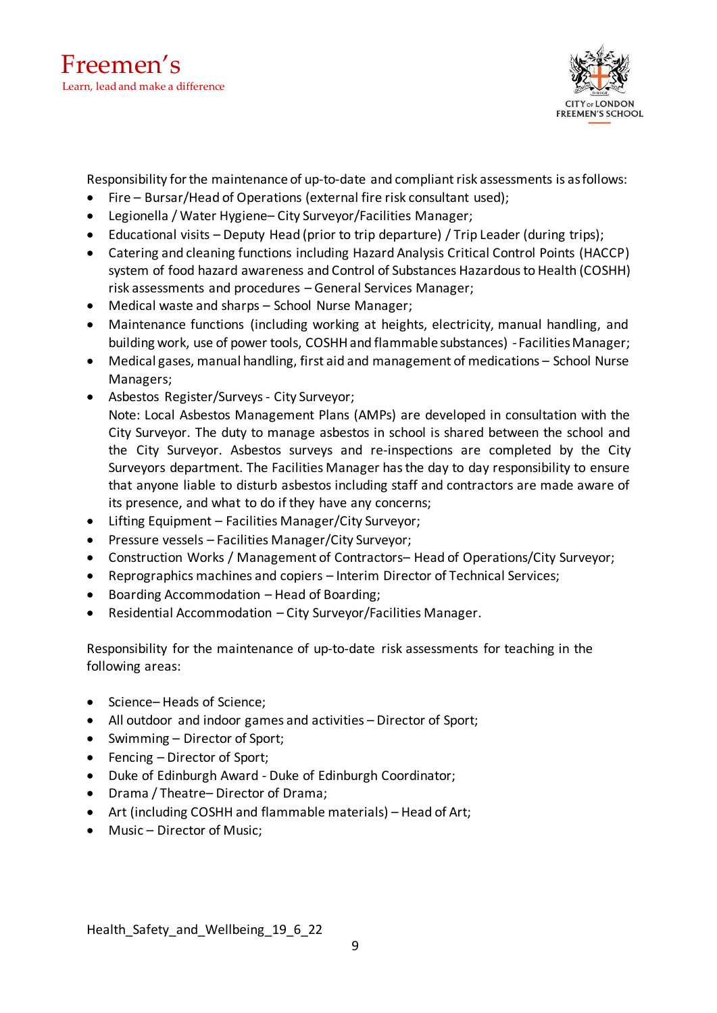

Responsibility for the maintenance of up-to-date and compliant risk assessments is as follows:

- Fire Bursar/Head of Operations (external fire risk consultant used);
- Legionella / Water Hygiene– City Surveyor/Facilities Manager;
- Educational visits Deputy Head (prior to trip departure) / Trip Leader (during trips);
- Catering and cleaning functions including Hazard Analysis Critical Control Points (HACCP) system of food hazard awareness and Control of Substances Hazardous to Health (COSHH) risk assessments and procedures – General Services Manager;
- Medical waste and sharps School Nurse Manager;
- Maintenance functions (including working at heights, electricity, manual handling, and building work, use of power tools, COSHH and flammable substances) - Facilities Manager;
- Medical gases, manual handling, first aid and management of medications School Nurse Managers;
- Asbestos Register/Surveys City Surveyor;

Note: Local Asbestos Management Plans (AMPs) are developed in consultation with the City Surveyor. The duty to manage asbestos in school is shared between the school and the City Surveyor. Asbestos surveys and re-inspections are completed by the City Surveyors department. The Facilities Manager has the day to day responsibility to ensure that anyone liable to disturb asbestos including staff and contractors are made aware of its presence, and what to do if they have any concerns;

- Lifting Equipment Facilities Manager/City Surveyor;
- Pressure vessels Facilities Manager/City Surveyor;
- Construction Works / Management of Contractors– Head of Operations/City Surveyor;
- Reprographics machines and copiers Interim Director of Technical Services;
- Boarding Accommodation Head of Boarding;
- Residential Accommodation City Surveyor/Facilities Manager.

Responsibility for the maintenance of up-to-date risk assessments for teaching in the following areas:

- Science– Heads of Science;
- All outdoor and indoor games and activities Director of Sport;
- Swimming Director of Sport;
- Fencing Director of Sport;
- Duke of Edinburgh Award Duke of Edinburgh Coordinator;
- Drama / Theatre– Director of Drama;
- Art (including COSHH and flammable materials) Head of Art;
- Music Director of Music;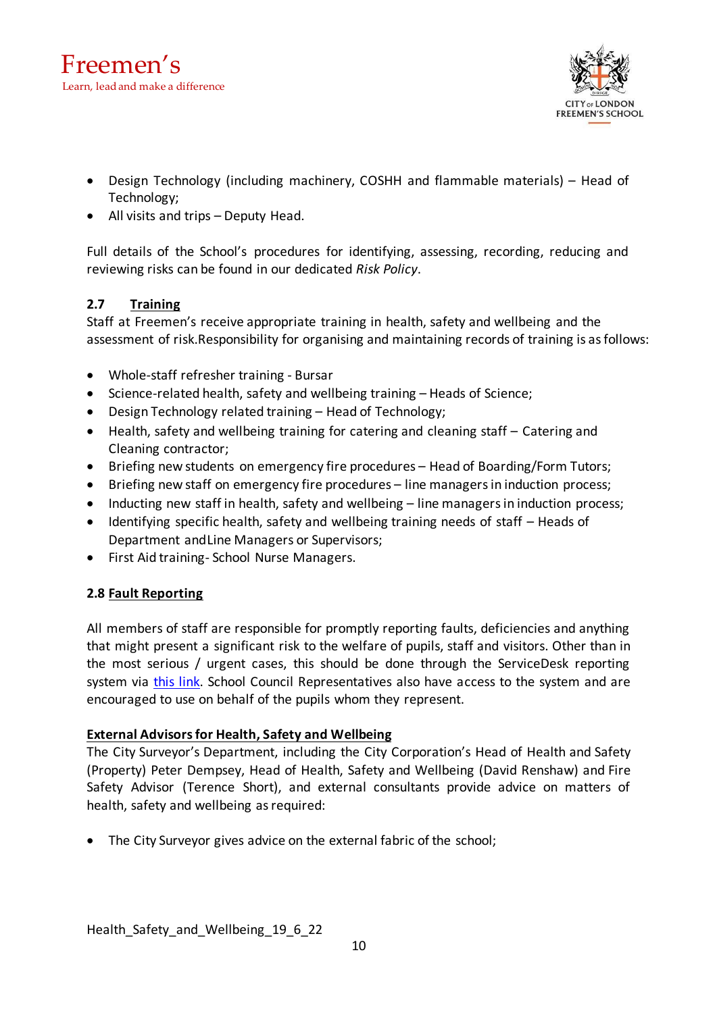

- Design Technology (including machinery, COSHH and flammable materials) Head of Technology;
- All visits and trips Deputy Head.

Full details of the School's procedures for identifying, assessing, recording, reducing and reviewing risks can be found in our dedicated *Risk Policy*.

# **2.7 Training**

Staff at Freemen's receive appropriate training in health, safety and wellbeing and the assessment of risk.Responsibility for organising and maintaining records of training is asfollows:

- Whole-staff refresher training Bursar
- Science-related health, safety and wellbeing training Heads of Science;
- Design Technology related training Head of Technology;
- Health, safety and wellbeing training for catering and cleaning staff Catering and Cleaning contractor;
- Briefing new students on emergency fire procedures Head of Boarding/Form Tutors;
- Briefing new staff on emergency fire procedures line managers in induction process;
- Inducting new staff in health, safety and wellbeing line managers in induction process;
- Identifying specific health, safety and wellbeing training needs of staff Heads of Department andLine Managers or Supervisors;
- First Aid training- School Nurse Managers.

# **2.8 Fault Reporting**

All members of staff are responsible for promptly reporting faults, deficiencies and anything that might present a significant risk to the welfare of pupils, staff and visitors. Other than in the most serious / urgent cases, this should be done through the ServiceDesk reporting system via [this link.](https://accounts.zoho.eu/signin?servicename=SDPOnDemand&hide_title=true&hideyahoosignin=true&hidefbconnect=true&hide_secure=true&serviceurl=https%3A%2F%2Ffreemens.sdpondemand.manageengine.eu%2Fjsp%2Findex.jsp&signupurl=https%3A//freemens.sdpondemand.manageengine.eu/SignUp.sd%3FwithHeader%3Dtrue&portal_id=20066206466) School Council Representatives also have access to the system and are encouraged to use on behalf of the pupils whom they represent.

## **External Advisorsfor Health, Safety and Wellbeing**

The City Surveyor's Department, including the City Corporation's Head of Health and Safety (Property) Peter Dempsey, Head of Health, Safety and Wellbeing (David Renshaw) and Fire Safety Advisor (Terence Short), and external consultants provide advice on matters of health, safety and wellbeing as required:

• The City Surveyor gives advice on the external fabric of the school;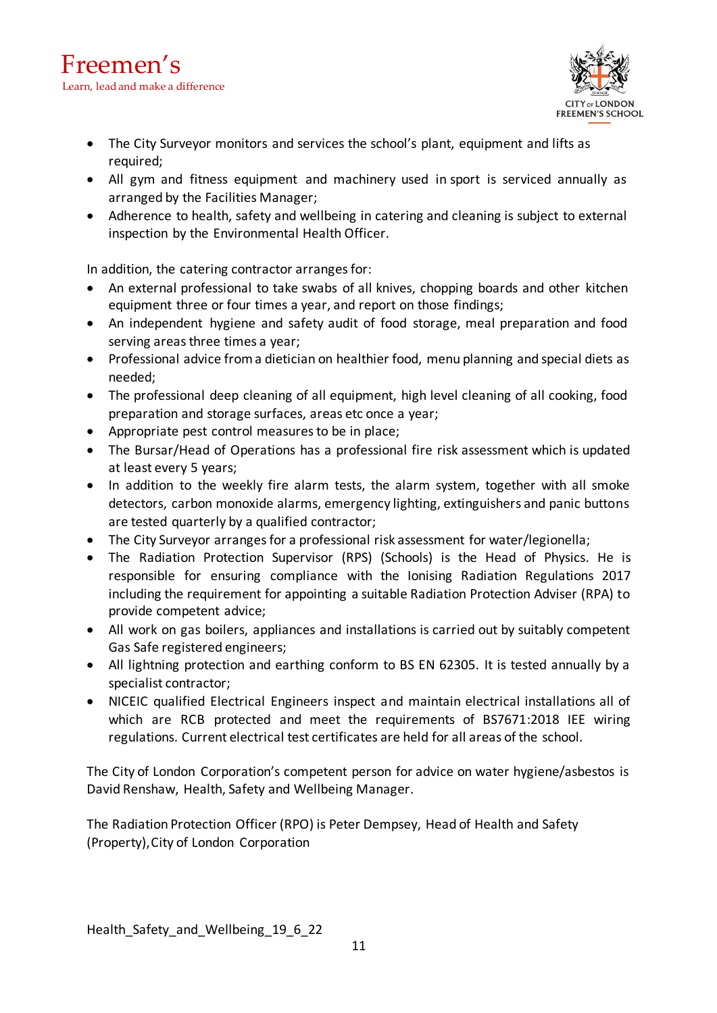

- The City Surveyor monitors and services the school's plant, equipment and lifts as required;
- All gym and fitness equipment and machinery used in sport is serviced annually as arranged by the Facilities Manager;
- Adherence to health, safety and wellbeing in catering and cleaning is subject to external inspection by the Environmental Health Officer.

In addition, the catering contractor arranges for:

- An external professional to take swabs of all knives, chopping boards and other kitchen equipment three or four times a year, and report on those findings;
- An independent hygiene and safety audit of food storage, meal preparation and food serving areas three times a year;
- Professional advice froma dietician on healthier food, menu planning and special diets as needed;
- The professional deep cleaning of all equipment, high level cleaning of all cooking, food preparation and storage surfaces, areas etc once a year;
- Appropriate pest control measures to be in place;
- The Bursar/Head of Operations has a professional fire risk assessment which is updated at least every 5 years;
- In addition to the weekly fire alarm tests, the alarm system, together with all smoke detectors, carbon monoxide alarms, emergency lighting, extinguishers and panic buttons are tested quarterly by a qualified contractor;
- The City Surveyor arranges for a professional risk assessment for water/legionella;
- The Radiation Protection Supervisor (RPS) (Schools) is the Head of Physics. He is responsible for ensuring compliance with the Ionising Radiation Regulations 2017 including the requirement for appointing a suitable Radiation Protection Adviser (RPA) to provide competent advice;
- All work on gas boilers, appliances and installations is carried out by suitably competent Gas Safe registered engineers;
- All lightning protection and earthing conform to BS EN 62305. It is tested annually by a specialist contractor;
- NICEIC qualified Electrical Engineers inspect and maintain electrical installations all of which are RCB protected and meet the requirements of BS7671:2018 IEE wiring regulations. Current electrical test certificates are held for all areas of the school.

The City of London Corporation's competent person for advice on water hygiene/asbestos is David Renshaw, Health, Safety and Wellbeing Manager.

The Radiation Protection Officer (RPO) is Peter Dempsey, Head of Health and Safety (Property),City of London Corporation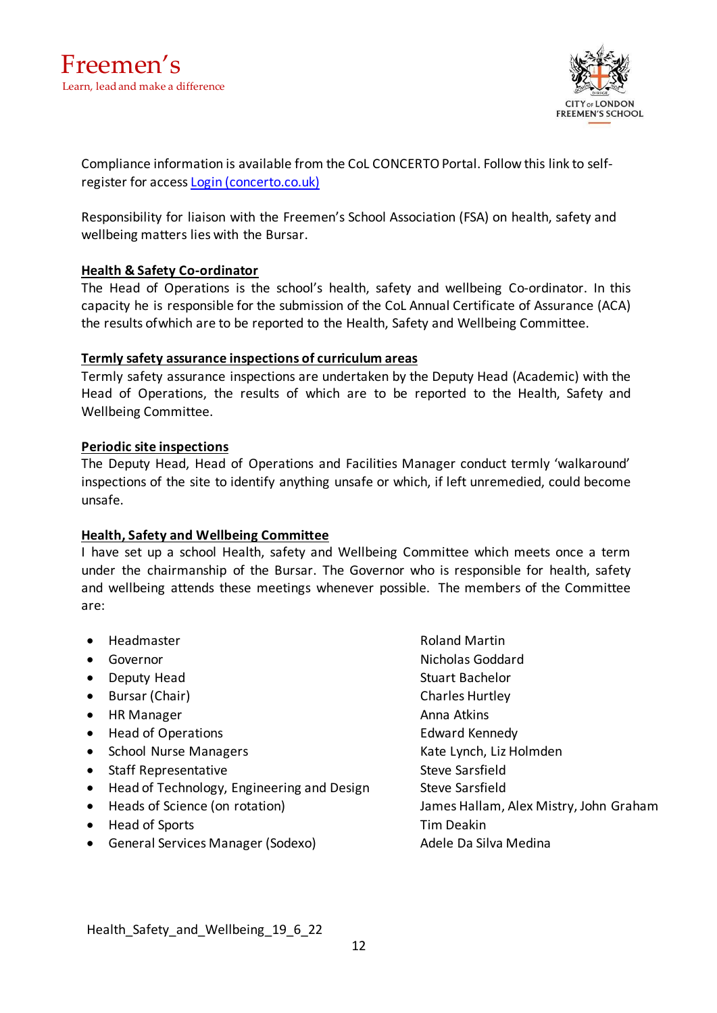

Compliance information is available from the CoL CONCERTO Portal. Follow this link to selfregister for access [Login \(concerto.co.uk\)](https://cityoflondon.concerto.co.uk/login.aspx)

Responsibility for liaison with the Freemen's School Association (FSA) on health, safety and wellbeing matters lies with the Bursar.

## **Health & Safety Co-ordinator**

The Head of Operations is the school's health, safety and wellbeing Co-ordinator. In this capacity he is responsible for the submission of the CoL Annual Certificate of Assurance (ACA) the results ofwhich are to be reported to the Health, Safety and Wellbeing Committee.

## **Termly safety assurance inspections of curriculum areas**

Termly safety assurance inspections are undertaken by the Deputy Head (Academic) with the Head of Operations, the results of which are to be reported to the Health, Safety and Wellbeing Committee.

## **Periodic site inspections**

The Deputy Head, Head of Operations and Facilities Manager conduct termly 'walkaround' inspections of the site to identify anything unsafe or which, if left unremedied, could become unsafe.

## **Health, Safety and Wellbeing Committee**

I have set up a school Health, safety and Wellbeing Committee which meets once a term under the chairmanship of the Bursar. The Governor who is responsible for health, safety and wellbeing attends these meetings whenever possible. The members of the Committee are:

- Headmaster **Roland Martin**
- 
- Deputy Head Stuart Bachelor
- Bursar (Chair) Charles Hurtley
- HR Manager Anna Atkins
- Head of Operations **Edward Kennedy**
- School Nurse Managers **Kate Lynch, Liz Holmden**
- Staff Representative Steve Sarsfield
- Head of Technology, Engineering and Design Steve Sarsfield
- 
- Head of Sports Tim Deakin
- General Services Manager (Sodexo) and adele Da Silva Medina

• Governor **Communist Communist Communist Communist Communist Communist Communist Communist Communist Communist Communist Communist Communist Communist Communist Communist Communist Communist Communist Communist Communist** • Heads of Science (on rotation) James Hallam, Alex Mistry, John Graham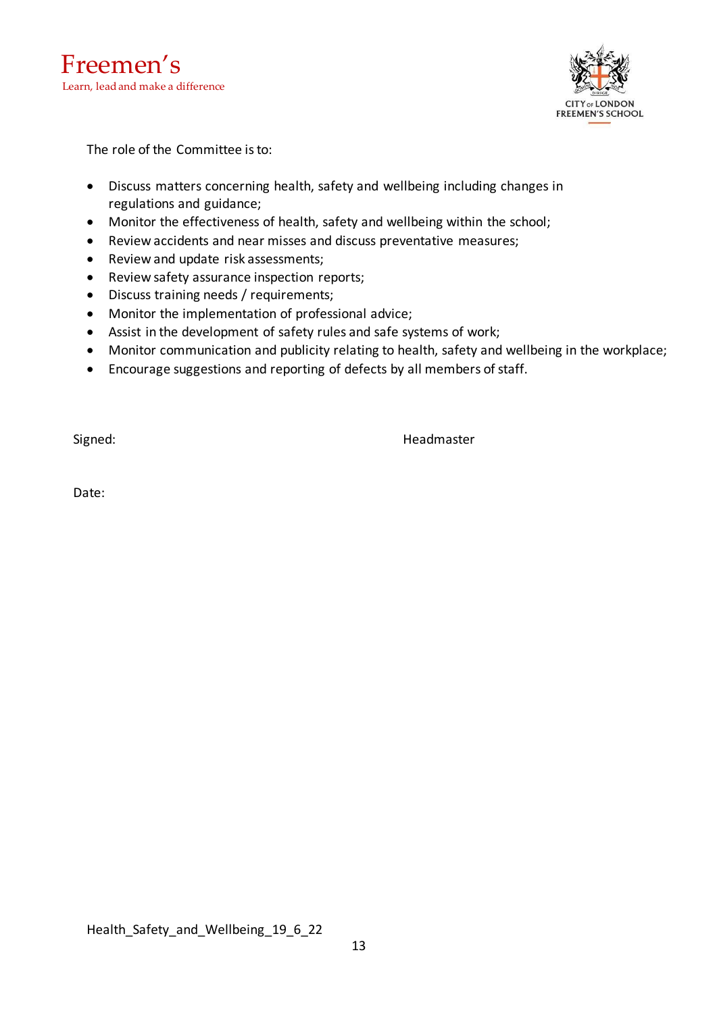

The role of the Committee is to:

- Discuss matters concerning health, safety and wellbeing including changes in regulations and guidance;
- Monitor the effectiveness of health, safety and wellbeing within the school;
- Review accidents and near misses and discuss preventative measures;
- Review and update risk assessments;
- Review safety assurance inspection reports;
- Discuss training needs / requirements;
- Monitor the implementation of professional advice;
- Assist in the development of safety rules and safe systems of work;
- Monitor communication and publicity relating to health, safety and wellbeing in the workplace;
- Encourage suggestions and reporting of defects by all members of staff.

Signed: **Headmaster Headmaster** 

Date: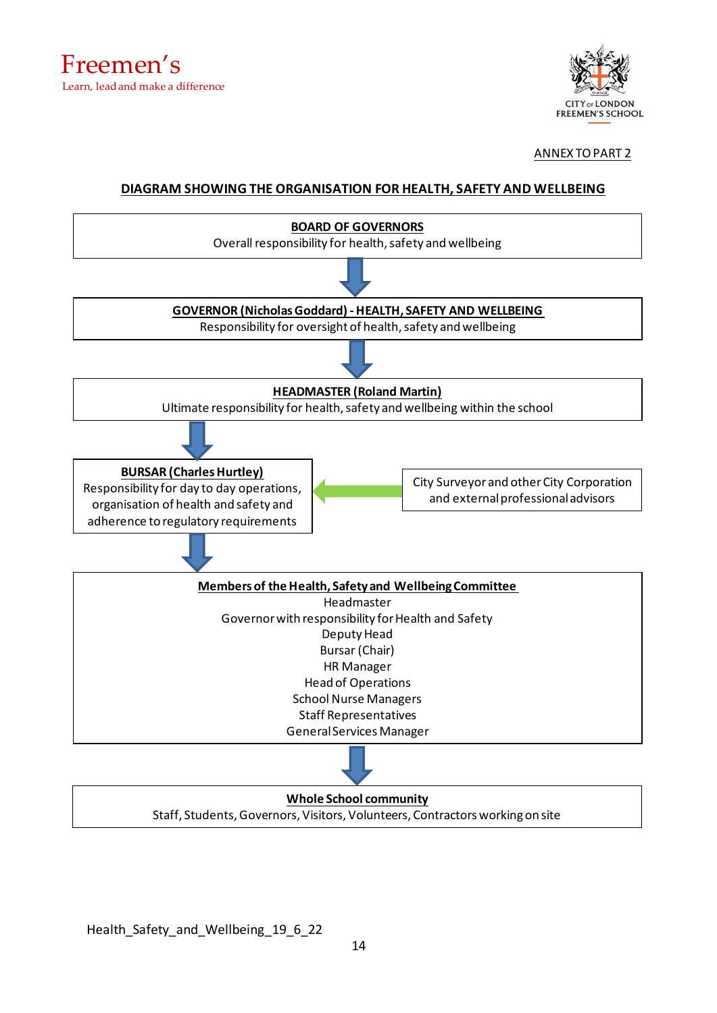

ANNEX TOPART 2

## **DIAGRAM SHOWING THE ORGANISATION FOR HEALTH, SAFETY AND WELLBEING**



#### **Whole School community** Staff, Students, Governors, Visitors, Volunteers, Contractors working on site

Health Safety and Wellbeing 19 6 22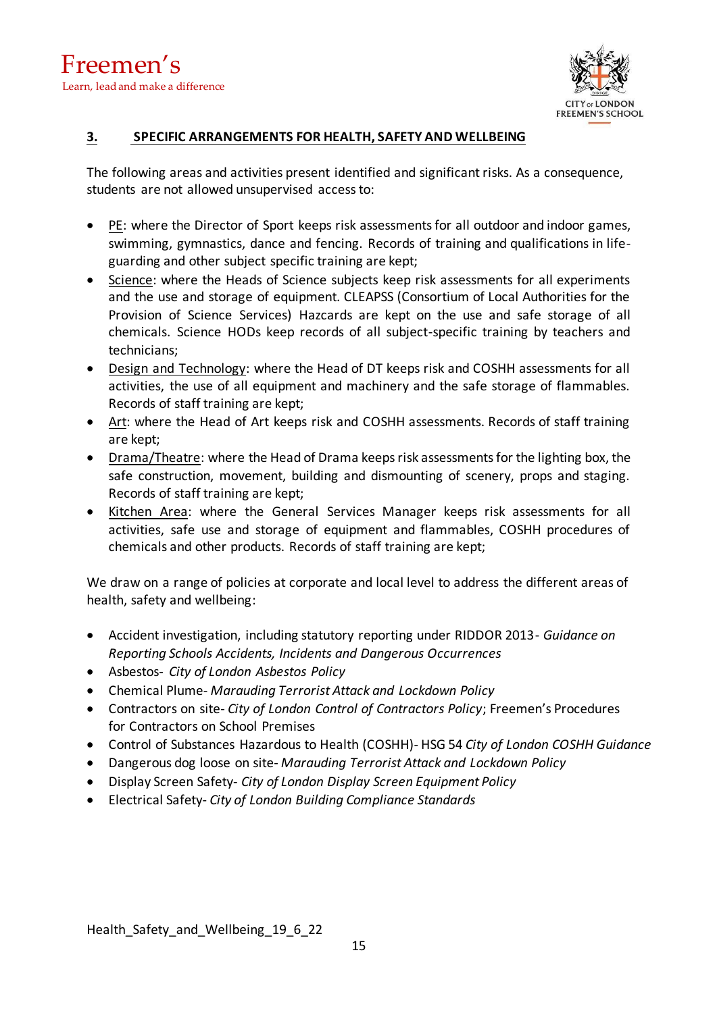

## **3. SPECIFIC ARRANGEMENTS FOR HEALTH, SAFETY AND WELLBEING**

The following areas and activities present identified and significant risks. As a consequence, students are not allowed unsupervised accessto:

- PE: where the Director of Sport keeps risk assessments for all outdoor and indoor games, swimming, gymnastics, dance and fencing. Records of training and qualifications in lifeguarding and other subject specific training are kept;
- Science: where the Heads of Science subjects keep risk assessments for all experiments and the use and storage of equipment. CLEAPSS (Consortium of Local Authorities for the Provision of Science Services) Hazcards are kept on the use and safe storage of all chemicals. Science HODs keep records of all subject-specific training by teachers and technicians;
- Design and Technology: where the Head of DT keeps risk and COSHH assessments for all activities, the use of all equipment and machinery and the safe storage of flammables. Records of staff training are kept;
- Art: where the Head of Art keeps risk and COSHH assessments. Records of staff training are kept;
- Drama/Theatre: where the Head of Drama keeps risk assessments for the lighting box, the safe construction, movement, building and dismounting of scenery, props and staging. Records of staff training are kept;
- Kitchen Area: where the General Services Manager keeps risk assessments for all activities, safe use and storage of equipment and flammables, COSHH procedures of chemicals and other products. Records of staff training are kept;

We draw on a range of policies at corporate and local level to address the different areas of health, safety and wellbeing:

- Accident investigation, including statutory reporting under RIDDOR 2013- *Guidance on Reporting Schools Accidents, Incidents and Dangerous Occurrences*
- Asbestos- *City of London Asbestos Policy*
- Chemical Plume- *Marauding Terrorist Attack and Lockdown Policy*
- Contractors on site- *City of London Control of Contractors Policy*; Freemen's Procedures for Contractors on School Premises
- Control of Substances Hazardous to Health (COSHH)- HSG 54 *City of London COSHH Guidance*
- Dangerous dog loose on site- *Marauding Terrorist Attack and Lockdown Policy*
- Display Screen Safety- *City of London Display Screen Equipment Policy*
- Electrical Safety- *City of London Building Compliance Standards*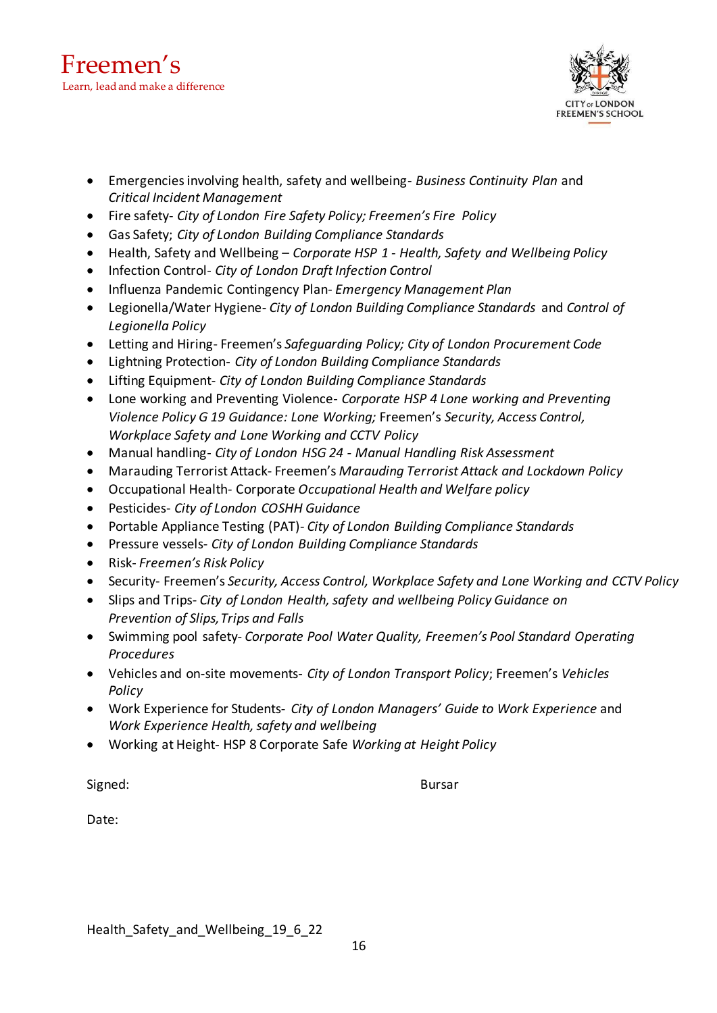

- Emergencies involving health, safety and wellbeing- *Business Continuity Plan* and *Critical Incident Management*
- Fire safety- *City of London Fire Safety Policy; Freemen's Fire Policy*
- Gas Safety; *City of London Building Compliance Standards*
- Health, Safety and Wellbeing *Corporate HSP 1 - Health, Safety and Wellbeing Policy*
- Infection Control- *City of London Draft Infection Control*
- Influenza Pandemic Contingency Plan- *Emergency Management Plan*
- Legionella/Water Hygiene- *City of London Building Compliance Standards* and *Control of Legionella Policy*
- Letting and Hiring- Freemen's *Safeguarding Policy; City of London Procurement Code*
- Lightning Protection- *City of London Building Compliance Standards*
- Lifting Equipment- *City of London Building Compliance Standards*
- Lone working and Preventing Violence- *Corporate HSP 4 Lone working and Preventing Violence Policy G 19 Guidance: Lone Working;* Freemen's *Security, Access Control, Workplace Safety and Lone Working and CCTV Policy*
- Manual handling- *City of London HSG 24 - Manual Handling Risk Assessment*
- Marauding Terrorist Attack- Freemen's *Marauding Terrorist Attack and Lockdown Policy*
- Occupational Health- Corporate *Occupational Health and Welfare policy*
- Pesticides- *City of London COSHH Guidance*
- Portable Appliance Testing (PAT)- *City of London Building Compliance Standards*
- Pressure vessels- *City of London Building Compliance Standards*
- Risk- *Freemen's Risk Policy*
- Security- Freemen's *Security, Access Control, Workplace Safety and Lone Working and CCTV Policy*
- Slips and Trips- *City of London Health, safety and wellbeing Policy Guidance on Prevention of Slips,Trips and Falls*
- Swimming pool safety- *Corporate Pool Water Quality, Freemen's Pool Standard Operating Procedures*
- Vehicles and on-site movements- *City of London Transport Policy*; Freemen's *Vehicles Policy*
- Work Experience for Students- *City of London Managers' Guide to Work Experience* and *Work Experience Health, safety and wellbeing*
- Working at Height- HSP 8 Corporate Safe *Working at Height Policy*

Signed: Bursar Bursar Bursar Bursar Bursar Bursar Bursar Bursar Bursar Bursar Bursar Bursar Bursar Bursar Bursar Bursar Bursar Bursar Bursar Bursar Bursar Bursar Bursar Bursar Bursar Bursar Bursar Bursar Bursar Bursar Burs

Date: